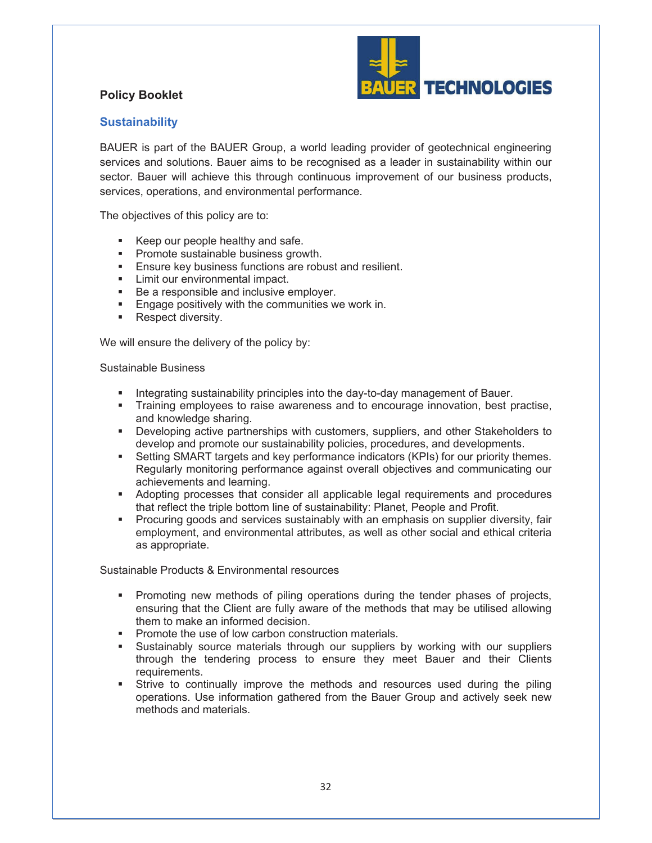

## **Policy Booklet**

## **Sustainability**

BAUER is part of the BAUER Group, a world leading provider of geotechnical engineering services and solutions. Bauer aims to be recognised as a leader in sustainability within our sector. Bauer will achieve this through continuous improvement of our business products, services, operations, and environmental performance.

The objectives of this policy are to:

- Keep our people healthy and safe.
- **•** Promote sustainable business growth.
- **Ensure key business functions are robust and resilient.**
- **EXECUTE:** Limit our environmental impact.
- Be a responsible and inclusive employer.
- **Engage positively with the communities we work in.**
- Respect diversity.

We will ensure the delivery of the policy by:

## Sustainable Business

- **Integrating sustainability principles into the day-to-day management of Bauer.**
- **Training employees to raise awareness and to encourage innovation, best practise,** and knowledge sharing.
- **•** Developing active partnerships with customers, suppliers, and other Stakeholders to develop and promote our sustainability policies, procedures, and developments.
- **Setting SMART targets and key performance indicators (KPIs) for our priority themes.** Regularly monitoring performance against overall objectives and communicating our achievements and learning.
- **Adopting processes that consider all applicable legal requirements and procedures** that reflect the triple bottom line of sustainability: Planet, People and Profit.
- **Procuring goods and services sustainably with an emphasis on supplier diversity, fair** employment, and environmental attributes, as well as other social and ethical criteria as appropriate.

Sustainable Products & Environmental resources

- **•** Promoting new methods of piling operations during the tender phases of projects, ensuring that the Client are fully aware of the methods that may be utilised allowing them to make an informed decision.
- **Promote the use of low carbon construction materials.**
- ß Sustainably source materials through our suppliers by working with our suppliers through the tendering process to ensure they meet Bauer and their Clients requirements.
- ß Strive to continually improve the methods and resources used during the piling operations. Use information gathered from the Bauer Group and actively seek new methods and materials.